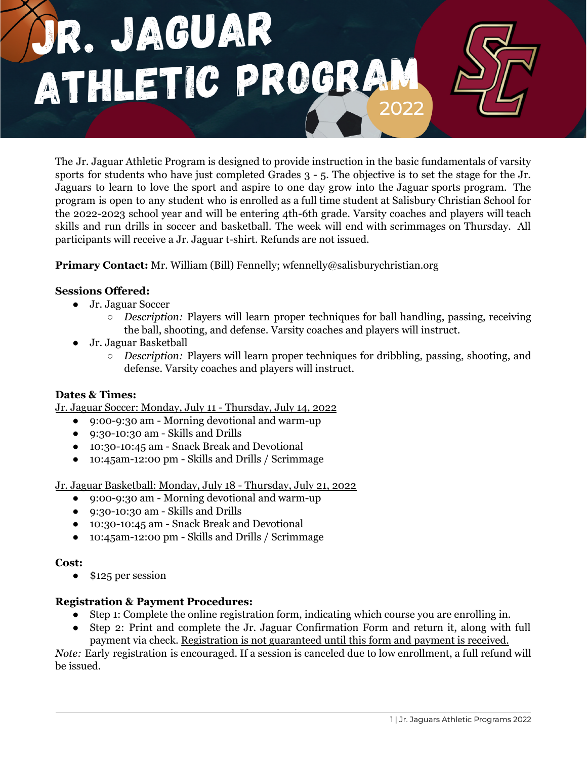

The Jr. Jaguar Athletic Program is designed to provide instruction in the basic fundamentals of varsity sports for students who have just completed Grades 3 - 5. The objective is to set the stage for the Jr. Jaguars to learn to love the sport and aspire to one day grow into the Jaguar sports program. The program is open to any student who is enrolled as a full time student at Salisbury Christian School for the 2022-2023 school year and will be entering 4th-6th grade. Varsity coaches and players will teach skills and run drills in soccer and basketball. The week will end with scrimmages on Thursday. All participants will receive a Jr. Jaguar t-shirt. Refunds are not issued.

**Primary Contact:** Mr. William (Bill) Fennelly; wfennelly@salisburychristian.org

## **Sessions Offered:**

- Jr. Jaguar Soccer
	- *Description:* Players will learn proper techniques for ball handling, passing, receiving the ball, shooting, and defense. Varsity coaches and players will instruct.
- Jr. Jaguar Basketball
	- *Description:* Players will learn proper techniques for dribbling, passing, shooting, and defense. Varsity coaches and players will instruct.

### **Dates & Times:**

Jr. Jaguar Soccer: Monday, July 11 - Thursday, July 14, 2022

- 9:00-9:30 am Morning devotional and warm-up
- 9:30-10:30 am Skills and Drills
- 10:30-10:45 am Snack Break and Devotional
- 10:45am-12:00 pm Skills and Drills / Scrimmage

Jr. Jaguar Basketball: Monday, July 18 - Thursday, July 21, 2022

- 9:00-9:30 am Morning devotional and warm-up
- 9:30-10:30 am Skills and Drills
- 10:30-10:45 am Snack Break and Devotional
- 10:45am-12:00 pm Skills and Drills / Scrimmage

### **Cost:**

• \$125 per session

### **Registration & Payment Procedures:**

- Step 1: Complete the online registration form, indicating which course you are enrolling in.
- Step 2: Print and complete the Jr. Jaguar Confirmation Form and return it, along with full payment via check. Registration is not guaranteed until this form and payment is received.

*Note:* Early registration is encouraged. If a session is canceled due to low enrollment, a full refund will be issued.